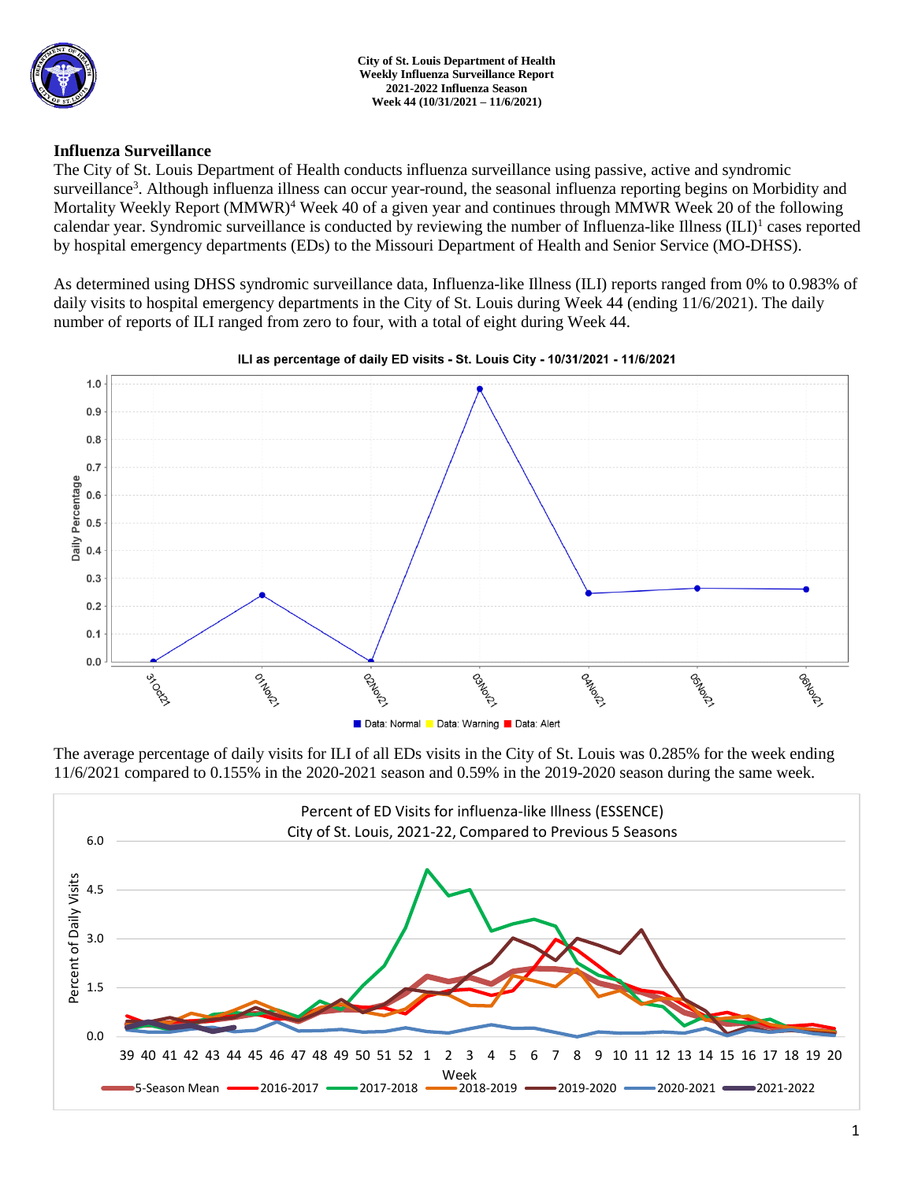

## **Influenza Surveillance**

The City of St. Louis Department of Health conducts influenza surveillance using passive, active and syndromic surveillance<sup>3</sup>. Although influenza illness can occur year-round, the seasonal influenza reporting begins on Morbidity and Mortality Weekly Report (MMWR)<sup>4</sup> Week 40 of a given year and continues through MMWR Week 20 of the following calendar year. Syndromic surveillance is conducted by reviewing the number of Influenza-like Illness (ILI)<sup>1</sup> cases reported by hospital emergency departments (EDs) to the Missouri Department of Health and Senior Service (MO-DHSS).

As determined using DHSS syndromic surveillance data, Influenza-like Illness (ILI) reports ranged from 0% to 0.983% of daily visits to hospital emergency departments in the City of St. Louis during Week 44 (ending 11/6/2021). The daily number of reports of ILI ranged from zero to four, with a total of eight during Week 44.



### ILI as percentage of daily ED visits - St. Louis City - 10/31/2021 - 11/6/2021

The average percentage of daily visits for ILI of all EDs visits in the City of St. Louis was 0.285% for the week ending 11/6/2021 compared to 0.155% in the 2020-2021 season and 0.59% in the 2019-2020 season during the same week.

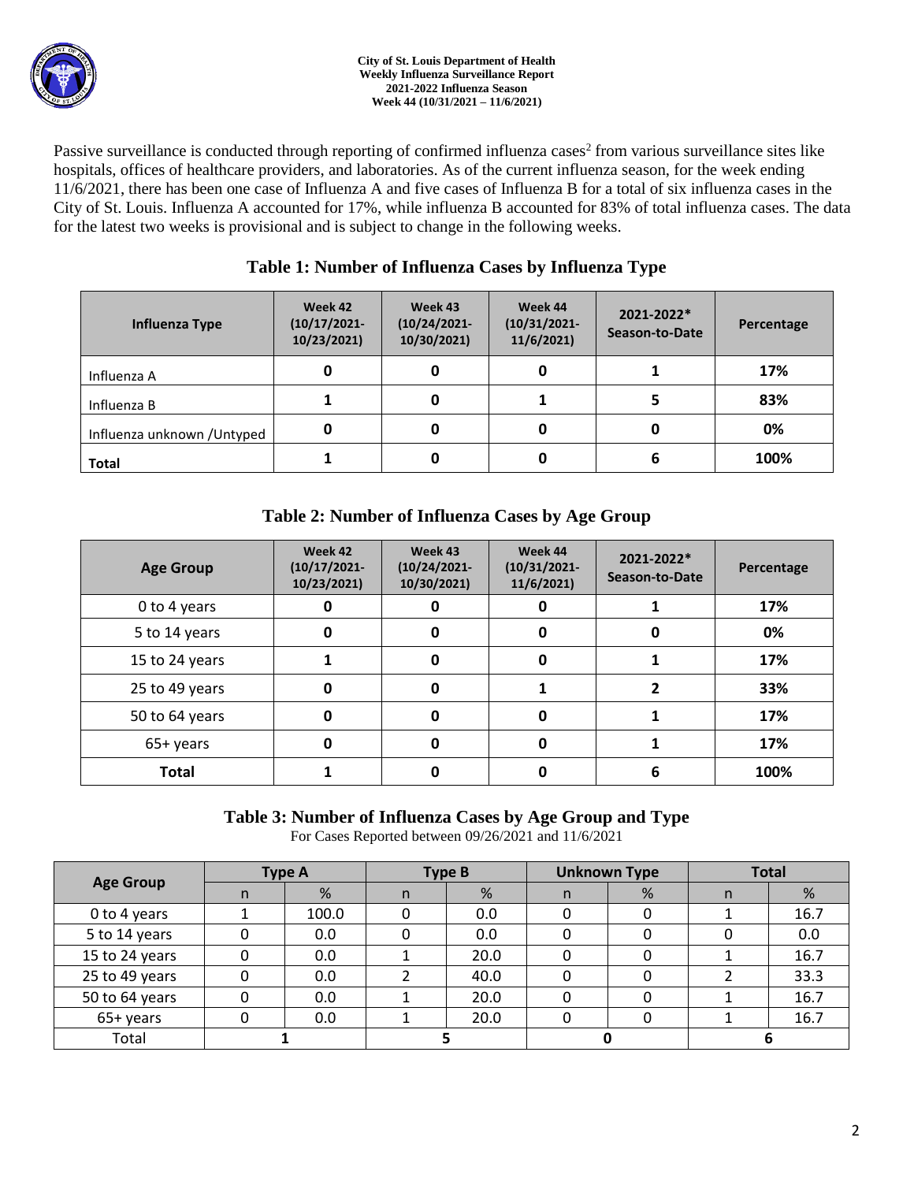

Passive surveillance is conducted through reporting of confirmed influenza cases<sup>2</sup> from various surveillance sites like hospitals, offices of healthcare providers, and laboratories. As of the current influenza season, for the week ending 11/6/2021, there has been one case of Influenza A and five cases of Influenza B for a total of six influenza cases in the City of St. Louis. Influenza A accounted for 17%, while influenza B accounted for 83% of total influenza cases. The data for the latest two weeks is provisional and is subject to change in the following weeks.

## **Table 1: Number of Influenza Cases by Influenza Type**

| Influenza Type              | Week 42<br>$(10/17/2021 -$<br>10/23/2021) | Week 43<br>$(10/24/2021 -$<br>10/30/2021) | Week 44<br>$(10/31/2021 -$<br>11/6/2021 | 2021-2022*<br>Season-to-Date | Percentage |  |
|-----------------------------|-------------------------------------------|-------------------------------------------|-----------------------------------------|------------------------------|------------|--|
| Influenza A                 |                                           |                                           |                                         |                              | 17%        |  |
| Influenza B                 |                                           |                                           |                                         |                              | 83%        |  |
| Influenza unknown / Untyped | 0                                         |                                           |                                         |                              | 0%         |  |
| <b>Total</b>                |                                           | 0                                         |                                         | D                            | 100%       |  |

# **Table 2: Number of Influenza Cases by Age Group**

| <b>Age Group</b> | Week 42<br>$(10/17/2021 -$<br>10/23/2021) | Week 43<br>$(10/24/2021 -$<br>10/30/2021) | Week 44<br>$(10/31/2021 -$<br>11/6/2021 | 2021-2022*<br>Season-to-Date | Percentage |
|------------------|-------------------------------------------|-------------------------------------------|-----------------------------------------|------------------------------|------------|
| 0 to 4 years     | 0                                         |                                           |                                         |                              | 17%        |
| 5 to 14 years    | 0                                         | 0                                         | 0                                       | 0                            | 0%         |
| 15 to 24 years   |                                           | 0                                         | 0                                       |                              | 17%        |
| 25 to 49 years   | 0                                         | 0                                         |                                         | 2                            | 33%        |
| 50 to 64 years   | 0                                         | 0                                         | 0                                       |                              | 17%        |
| 65+ years        | 0                                         | 0                                         | <sup>0</sup>                            |                              | 17%        |
| <b>Total</b>     |                                           | ŋ                                         | n                                       | 6                            | 100%       |

## **Table 3: Number of Influenza Cases by Age Group and Type**

For Cases Reported between 09/26/2021 and 11/6/2021

| <b>Age Group</b> | <b>Type A</b> |       | <b>Type B</b> |      | <b>Unknown Type</b> |   | <b>Total</b> |      |
|------------------|---------------|-------|---------------|------|---------------------|---|--------------|------|
|                  |               | %     | n             | %    | n                   | % | n            | %    |
| 0 to 4 years     |               | 100.0 |               | 0.0  |                     |   |              | 16.7 |
| 5 to 14 years    |               | 0.0   |               | 0.0  |                     |   |              | 0.0  |
| 15 to 24 years   |               | 0.0   |               | 20.0 |                     |   |              | 16.7 |
| 25 to 49 years   |               | 0.0   |               | 40.0 |                     |   |              | 33.3 |
| 50 to 64 years   |               | 0.0   |               | 20.0 |                     |   |              | 16.7 |
| 65+ years        |               | 0.0   |               | 20.0 |                     |   |              | 16.7 |
| Total            |               |       |               |      |                     |   |              |      |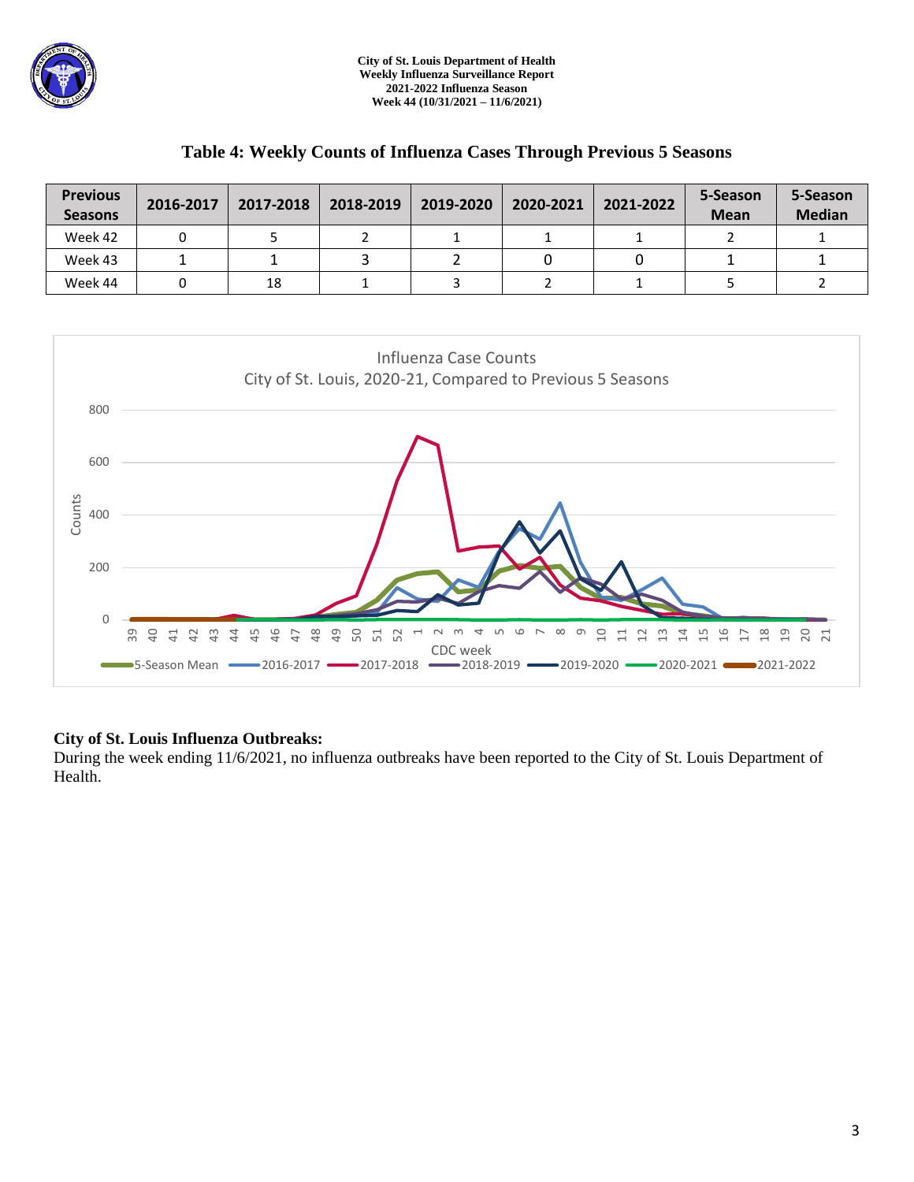

| <b>Previous</b><br><b>Seasons</b> | 2016-2017 | 2017-2018 | 2018-2019 | 2019-2020 | 2020-2021 | 2021-2022 | 5-Season<br><b>Mean</b> | 5-Season<br><b>Median</b> |
|-----------------------------------|-----------|-----------|-----------|-----------|-----------|-----------|-------------------------|---------------------------|
| Week 42                           |           |           |           |           |           |           |                         |                           |
| Week 43                           |           |           |           |           |           |           |                         |                           |
| Week 44                           |           | 18        |           |           |           |           |                         |                           |

## **Table 4: Weekly Counts of Influenza Cases Through Previous 5 Seasons**



### **City of St. Louis Influenza Outbreaks:**

During the week ending 11/6/2021, no influenza outbreaks have been reported to the City of St. Louis Department of Health.